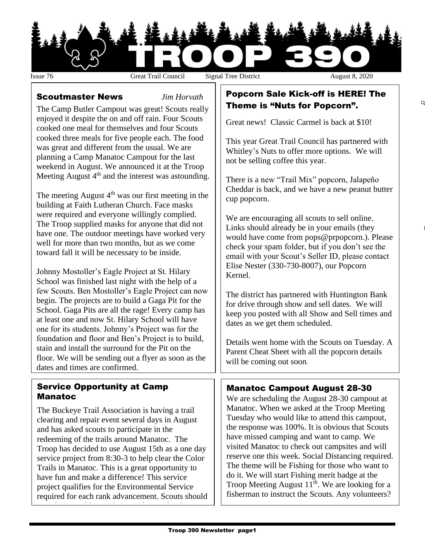

q

#### Scoutmaster News *Jim Horvath*

The Camp Butler Campout was great! Scouts really enjoyed it despite the on and off rain. Four Scouts cooked one meal for themselves and four Scouts cooked three meals for five people each. The food was great and different from the usual. We are planning a Camp Manatoc Campout for the last weekend in August. We announced it at the Troop Meeting August  $4<sup>th</sup>$  and the interest was astounding.

The meeting August  $4<sup>th</sup>$  was our first meeting in the building at Faith Lutheran Church. Face masks were required and everyone willingly complied. The Troop supplied masks for anyone that did not have one. The outdoor meetings have worked very well for more than two months, but as we come toward fall it will be necessary to be inside.

Johnny Mostoller's Eagle Project at St. Hilary School was finished last night with the help of a few Scouts. Ben Mostoller's Eagle Project can now begin. The projects are to build a Gaga Pit for the School. Gaga Pits are all the rage! Every camp has at least one and now St. Hilary School will have one for its students. Johnny's Project was for the foundation and floor and Ben's Project is to build, stain and install the surround for the Pit on the floor. We will be sending out a flyer as soon as the dates and times are confirmed.

#### Service Opportunity at Camp Manatoc

The Buckeye Trail Association is having a trail clearing and repair event several days in August and has asked scouts to participate in the redeeming of the trails around Manatoc. The Troop has decided to use August 15th as a one day service project from 8:30-3 to help clear the Color Trails in Manatoc. This is a great opportunity to have fun and make a difference! This service project qualifies for the Environmental Service required for each rank advancement. Scouts should

wear boots and bring gloves and water bottle.

### Popcorn Sale Kick-off is HERE! The Theme is "Nuts for Popcorn".

Great news! Classic Carmel is back at \$10!

This year Great Trail Council has partnered with Whitley's Nuts to offer more options. We will not be selling coffee this year.

There is a new "Trail Mix" popcorn, Jalapeño Cheddar is back, and we have a new peanut butter cup popcorn.

We are encouraging all scouts to sell online. Links should already be in your emails (they would have come from pops@prpopcorn.). Please check your spam folder, but if you don't see the email with your Scout's Seller ID, please contact Elise Nester (330-730-8007), our Popcorn Kernel.

The district has partnered with Huntington Bank for drive through show and sell dates. We will keep you posted with all Show and Sell times and dates as we get them scheduled.

Details went home with the Scouts on Tuesday. A Parent Cheat Sheet with all the popcorn details will be coming out soon.

## Manatoc Campout August 28-30

We are scheduling the August 28-30 campout at Manatoc. When we asked at the Troop Meeting Tuesday who would like to attend this campout, the response was 100%. It is obvious that Scouts have missed camping and want to camp. We visited Manatoc to check out campsites and will reserve one this week. Social Distancing required. The theme will be Fishing for those who want to do it. We will start Fishing merit badge at the Troop Meeting August  $11<sup>th</sup>$ . We are looking for a fisherman to instruct the Scouts. Any volunteers?